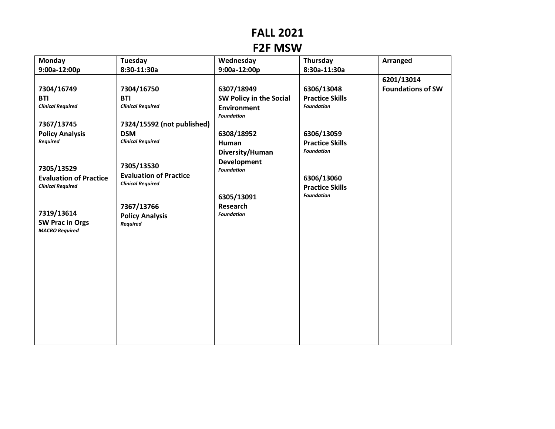## **FALL 2021**

## **F2F MSW**

| Monday                                          | <b>Tuesday</b>                | Wednesday               | Thursday               | Arranged                 |
|-------------------------------------------------|-------------------------------|-------------------------|------------------------|--------------------------|
| 9:00a-12:00p                                    | 8:30-11:30a                   | 9:00a-12:00p            | 8:30a-11:30a           |                          |
|                                                 |                               |                         |                        | 6201/13014               |
| 7304/16749                                      | 7304/16750                    | 6307/18949              | 6306/13048             | <b>Foundations of SW</b> |
| <b>BTI</b>                                      | <b>BTI</b>                    | SW Policy in the Social | <b>Practice Skills</b> |                          |
| <b>Clinical Required</b>                        | <b>Clinical Required</b>      | <b>Environment</b>      | <b>Foundation</b>      |                          |
|                                                 |                               | <b>Foundation</b>       |                        |                          |
| 7367/13745                                      | 7324/15592 (not published)    |                         |                        |                          |
| <b>Policy Analysis</b>                          | <b>DSM</b>                    | 6308/18952              | 6306/13059             |                          |
| Required                                        | <b>Clinical Required</b>      | Human                   | <b>Practice Skills</b> |                          |
|                                                 |                               | Diversity/Human         | <b>Foundation</b>      |                          |
|                                                 | 7305/13530                    | <b>Development</b>      |                        |                          |
| 7305/13529                                      | <b>Evaluation of Practice</b> | <b>Foundation</b>       |                        |                          |
| <b>Evaluation of Practice</b>                   | <b>Clinical Required</b>      |                         | 6306/13060             |                          |
| <b>Clinical Required</b>                        |                               |                         | <b>Practice Skills</b> |                          |
|                                                 |                               | 6305/13091              | <b>Foundation</b>      |                          |
|                                                 | 7367/13766                    | <b>Research</b>         |                        |                          |
| 7319/13614                                      | <b>Policy Analysis</b>        | <b>Foundation</b>       |                        |                          |
| <b>SW Prac in Orgs</b><br><b>MACRO Required</b> | <b>Required</b>               |                         |                        |                          |
|                                                 |                               |                         |                        |                          |
|                                                 |                               |                         |                        |                          |
|                                                 |                               |                         |                        |                          |
|                                                 |                               |                         |                        |                          |
|                                                 |                               |                         |                        |                          |
|                                                 |                               |                         |                        |                          |
|                                                 |                               |                         |                        |                          |
|                                                 |                               |                         |                        |                          |
|                                                 |                               |                         |                        |                          |
|                                                 |                               |                         |                        |                          |
|                                                 |                               |                         |                        |                          |
|                                                 |                               |                         |                        |                          |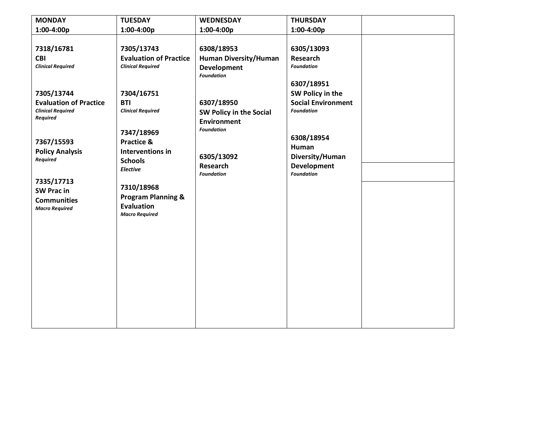| <b>MONDAY</b>                                                                                                                                                                                                                                                                           | <b>TUESDAY</b>                                                                                                                                                                                                                                                                                                        | <b>WEDNESDAY</b>                                                                                                                                                                                                                | <b>THURSDAY</b>                                                                                                                                                                                                                    |  |
|-----------------------------------------------------------------------------------------------------------------------------------------------------------------------------------------------------------------------------------------------------------------------------------------|-----------------------------------------------------------------------------------------------------------------------------------------------------------------------------------------------------------------------------------------------------------------------------------------------------------------------|---------------------------------------------------------------------------------------------------------------------------------------------------------------------------------------------------------------------------------|------------------------------------------------------------------------------------------------------------------------------------------------------------------------------------------------------------------------------------|--|
| $1:00-4:00p$                                                                                                                                                                                                                                                                            | 1:00-4:00p                                                                                                                                                                                                                                                                                                            | $1:00-4:00p$                                                                                                                                                                                                                    | $1:00-4:00p$                                                                                                                                                                                                                       |  |
| 7318/16781<br><b>CBI</b><br><b>Clinical Required</b><br>7305/13744<br><b>Evaluation of Practice</b><br><b>Clinical Required</b><br>Required<br>7367/15593<br><b>Policy Analysis</b><br><b>Required</b><br>7335/17713<br><b>SW Pracin</b><br><b>Communities</b><br><b>Macro Required</b> | 7305/13743<br><b>Evaluation of Practice</b><br><b>Clinical Required</b><br>7304/16751<br><b>BTI</b><br><b>Clinical Required</b><br>7347/18969<br><b>Practice &amp;</b><br>Interventions in<br><b>Schools</b><br>Elective<br>7310/18968<br><b>Program Planning &amp;</b><br><b>Evaluation</b><br><b>Macro Required</b> | 6308/18953<br><b>Human Diversity/Human</b><br><b>Development</b><br><b>Foundation</b><br>6307/18950<br>SW Policy in the Social<br><b>Environment</b><br><b>Foundation</b><br>6305/13092<br><b>Research</b><br><b>Foundation</b> | 6305/13093<br><b>Research</b><br><b>Foundation</b><br>6307/18951<br>SW Policy in the<br><b>Social Environment</b><br><b>Foundation</b><br>6308/18954<br><b>Human</b><br>Diversity/Human<br><b>Development</b><br><b>Foundation</b> |  |
|                                                                                                                                                                                                                                                                                         |                                                                                                                                                                                                                                                                                                                       |                                                                                                                                                                                                                                 |                                                                                                                                                                                                                                    |  |